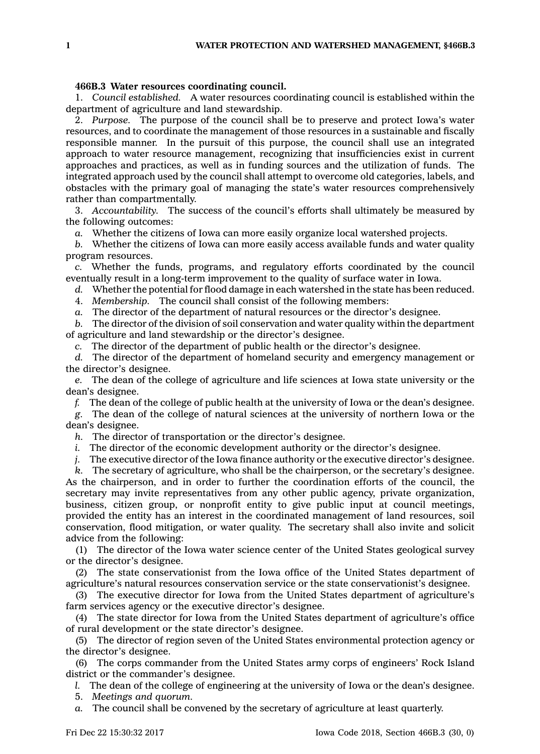## **466B.3 Water resources coordinating council.**

1. *Council established.* A water resources coordinating council is established within the department of agriculture and land stewardship.

2. *Purpose.* The purpose of the council shall be to preserve and protect Iowa's water resources, and to coordinate the management of those resources in <sup>a</sup> sustainable and fiscally responsible manner. In the pursuit of this purpose, the council shall use an integrated approach to water resource management, recognizing that insufficiencies exist in current approaches and practices, as well as in funding sources and the utilization of funds. The integrated approach used by the council shall attempt to overcome old categories, labels, and obstacles with the primary goal of managing the state's water resources comprehensively rather than compartmentally.

3. *Accountability.* The success of the council's efforts shall ultimately be measured by the following outcomes:

*a.* Whether the citizens of Iowa can more easily organize local watershed projects.

*b.* Whether the citizens of Iowa can more easily access available funds and water quality program resources.

*c.* Whether the funds, programs, and regulatory efforts coordinated by the council eventually result in <sup>a</sup> long-term improvement to the quality of surface water in Iowa.

*d.* Whether the potential for flood damage in each watershed in the state has been reduced.

4. *Membership.* The council shall consist of the following members:

*a.* The director of the department of natural resources or the director's designee.

*b.* The director of the division of soil conservation and water quality within the department of agriculture and land stewardship or the director's designee.

*c.* The director of the department of public health or the director's designee.

*d.* The director of the department of homeland security and emergency management or the director's designee.

*e.* The dean of the college of agriculture and life sciences at Iowa state university or the dean's designee.

*f.* The dean of the college of public health at the university of Iowa or the dean's designee.

*g.* The dean of the college of natural sciences at the university of northern Iowa or the dean's designee.

*h.* The director of transportation or the director's designee.

*i.* The director of the economic development authority or the director's designee.

*j.* The executive director of the Iowa finance authority or the executive director's designee.

*k.* The secretary of agriculture, who shall be the chairperson, or the secretary's designee. As the chairperson, and in order to further the coordination efforts of the council, the secretary may invite representatives from any other public agency, private organization, business, citizen group, or nonprofit entity to give public input at council meetings, provided the entity has an interest in the coordinated management of land resources, soil conservation, flood mitigation, or water quality. The secretary shall also invite and solicit advice from the following:

(1) The director of the Iowa water science center of the United States geological survey or the director's designee.

(2) The state conservationist from the Iowa office of the United States department of agriculture's natural resources conservation service or the state conservationist's designee.

(3) The executive director for Iowa from the United States department of agriculture's farm services agency or the executive director's designee.

(4) The state director for Iowa from the United States department of agriculture's office of rural development or the state director's designee.

(5) The director of region seven of the United States environmental protection agency or the director's designee.

(6) The corps commander from the United States army corps of engineers' Rock Island district or the commander's designee.

*l.* The dean of the college of engineering at the university of Iowa or the dean's designee.

5. *Meetings and quorum.*

*a.* The council shall be convened by the secretary of agriculture at least quarterly.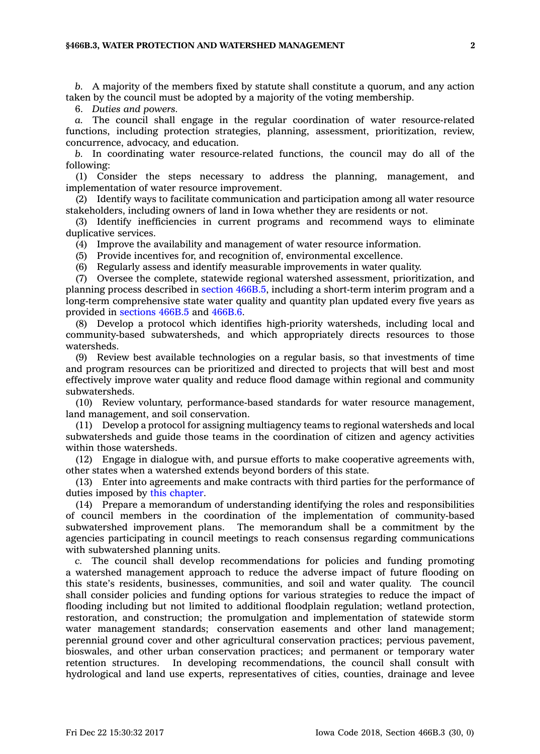## **§466B.3, WATER PROTECTION AND WATERSHED MANAGEMENT 2**

*b.* A majority of the members fixed by statute shall constitute <sup>a</sup> quorum, and any action taken by the council must be adopted by <sup>a</sup> majority of the voting membership.

6. *Duties and powers.*

*a.* The council shall engage in the regular coordination of water resource-related functions, including protection strategies, planning, assessment, prioritization, review, concurrence, advocacy, and education.

*b.* In coordinating water resource-related functions, the council may do all of the following:

(1) Consider the steps necessary to address the planning, management, and implementation of water resource improvement.

(2) Identify ways to facilitate communication and participation among all water resource stakeholders, including owners of land in Iowa whether they are residents or not.

(3) Identify inefficiencies in current programs and recommend ways to eliminate duplicative services.

(4) Improve the availability and management of water resource information.

(5) Provide incentives for, and recognition of, environmental excellence.

(6) Regularly assess and identify measurable improvements in water quality.

(7) Oversee the complete, statewide regional watershed assessment, prioritization, and planning process described in section [466B.5](https://www.legis.iowa.gov/docs/code/466B.5.pdf), including <sup>a</sup> short-term interim program and <sup>a</sup> long-term comprehensive state water quality and quantity plan updated every five years as provided in [sections](https://www.legis.iowa.gov/docs/code/466B.5.pdf) 466B.5 and [466B.6](https://www.legis.iowa.gov/docs/code/466B.6.pdf).

(8) Develop <sup>a</sup> protocol which identifies high-priority watersheds, including local and community-based subwatersheds, and which appropriately directs resources to those watersheds.

(9) Review best available technologies on <sup>a</sup> regular basis, so that investments of time and program resources can be prioritized and directed to projects that will best and most effectively improve water quality and reduce flood damage within regional and community subwatersheds.

(10) Review voluntary, performance-based standards for water resource management, land management, and soil conservation.

(11) Develop <sup>a</sup> protocol for assigning multiagency teams to regional watersheds and local subwatersheds and guide those teams in the coordination of citizen and agency activities within those watersheds.

(12) Engage in dialogue with, and pursue efforts to make cooperative agreements with, other states when <sup>a</sup> watershed extends beyond borders of this state.

(13) Enter into agreements and make contracts with third parties for the performance of duties imposed by this [chapter](https://www.legis.iowa.gov/docs/code//466B.pdf).

(14) Prepare <sup>a</sup> memorandum of understanding identifying the roles and responsibilities of council members in the coordination of the implementation of community-based subwatershed improvement plans. The memorandum shall be <sup>a</sup> commitment by the agencies participating in council meetings to reach consensus regarding communications with subwatershed planning units.

*c.* The council shall develop recommendations for policies and funding promoting <sup>a</sup> watershed management approach to reduce the adverse impact of future flooding on this state's residents, businesses, communities, and soil and water quality. The council shall consider policies and funding options for various strategies to reduce the impact of flooding including but not limited to additional floodplain regulation; wetland protection, restoration, and construction; the promulgation and implementation of statewide storm water management standards; conservation easements and other land management; perennial ground cover and other agricultural conservation practices; pervious pavement, bioswales, and other urban conservation practices; and permanent or temporary water retention structures. In developing recommendations, the council shall consult with hydrological and land use experts, representatives of cities, counties, drainage and levee